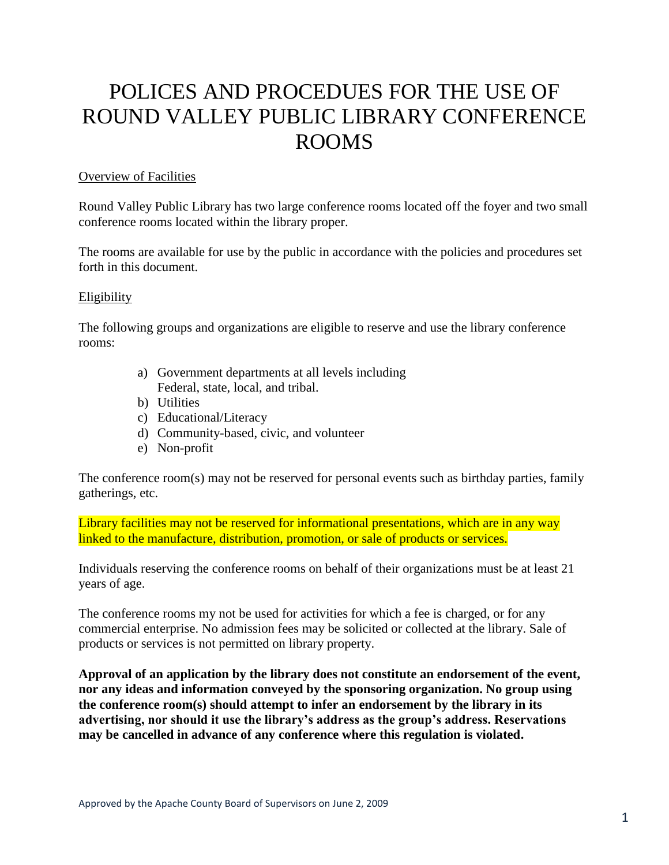# POLICES AND PROCEDUES FOR THE USE OF ROUND VALLEY PUBLIC LIBRARY CONFERENCE ROOMS

#### Overview of Facilities

Round Valley Public Library has two large conference rooms located off the foyer and two small conference rooms located within the library proper.

The rooms are available for use by the public in accordance with the policies and procedures set forth in this document.

#### Eligibility

The following groups and organizations are eligible to reserve and use the library conference rooms:

- a) Government departments at all levels including Federal, state, local, and tribal.
- b) Utilities
- c) Educational/Literacy
- d) Community-based, civic, and volunteer
- e) Non-profit

The conference room(s) may not be reserved for personal events such as birthday parties, family gatherings, etc.

Library facilities may not be reserved for informational presentations, which are in any way linked to the manufacture, distribution, promotion, or sale of products or services.

Individuals reserving the conference rooms on behalf of their organizations must be at least 21 years of age.

The conference rooms my not be used for activities for which a fee is charged, or for any commercial enterprise. No admission fees may be solicited or collected at the library. Sale of products or services is not permitted on library property.

**Approval of an application by the library does not constitute an endorsement of the event, nor any ideas and information conveyed by the sponsoring organization. No group using the conference room(s) should attempt to infer an endorsement by the library in its advertising, nor should it use the library's address as the group's address. Reservations may be cancelled in advance of any conference where this regulation is violated.**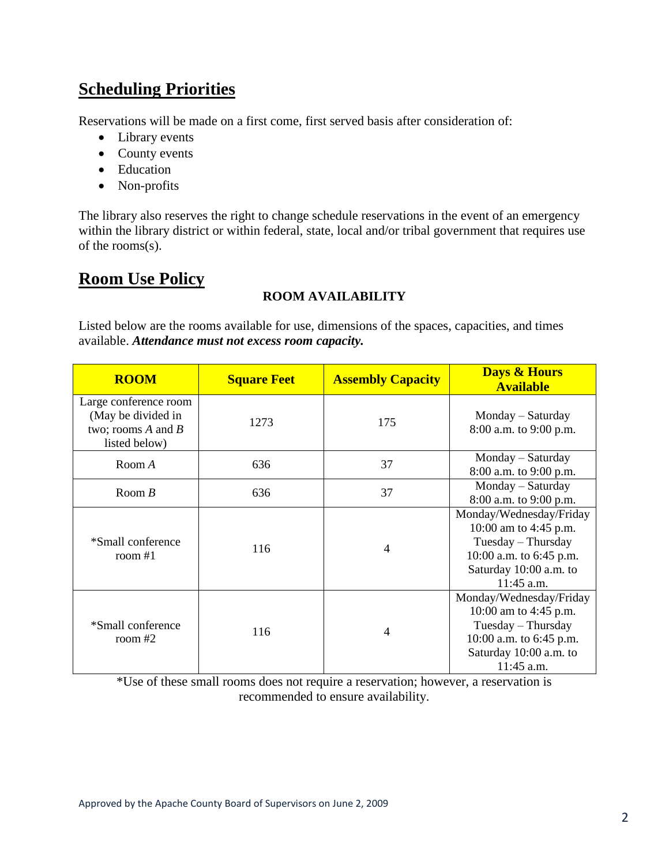## **Scheduling Priorities**

Reservations will be made on a first come, first served basis after consideration of:

- Library events
- County events
- Education
- Non-profits

The library also reserves the right to change schedule reservations in the event of an emergency within the library district or within federal, state, local and/or tribal government that requires use of the rooms(s).

## **Room Use Policy**

## **ROOM AVAILABILITY**

Listed below are the rooms available for use, dimensions of the spaces, capacities, and times available. *Attendance must not excess room capacity.*

| <b>ROOM</b>                                                                            | <b>Square Feet</b> | <b>Assembly Capacity</b> | <b>Days &amp; Hours</b><br><b>Available</b>                                                                                                 |
|----------------------------------------------------------------------------------------|--------------------|--------------------------|---------------------------------------------------------------------------------------------------------------------------------------------|
| Large conference room<br>(May be divided in<br>two; rooms $A$ and $B$<br>listed below) | 1273               | 175                      | Monday – Saturday<br>8:00 a.m. to 9:00 p.m.                                                                                                 |
| Room A                                                                                 | 636                | 37                       | Monday – Saturday<br>8:00 a.m. to 9:00 p.m.                                                                                                 |
| Room $B$                                                                               | 636                | 37                       | Monday – Saturday<br>8:00 a.m. to 9:00 p.m.                                                                                                 |
| *Small conference<br>room $#1$                                                         | 116                | $\overline{4}$           | Monday/Wednesday/Friday<br>10:00 am to 4:45 p.m.<br>Tuesday – Thursday<br>10:00 a.m. to 6:45 p.m.<br>Saturday 10:00 a.m. to<br>$11:45$ a.m. |
| *Small conference<br>room $#2$                                                         | 116                | 4                        | Monday/Wednesday/Friday<br>10:00 am to 4:45 p.m.<br>Tuesday - Thursday<br>10:00 a.m. to 6:45 p.m.<br>Saturday 10:00 a.m. to<br>11:45 a.m.   |

\*Use of these small rooms does not require a reservation; however, a reservation is recommended to ensure availability.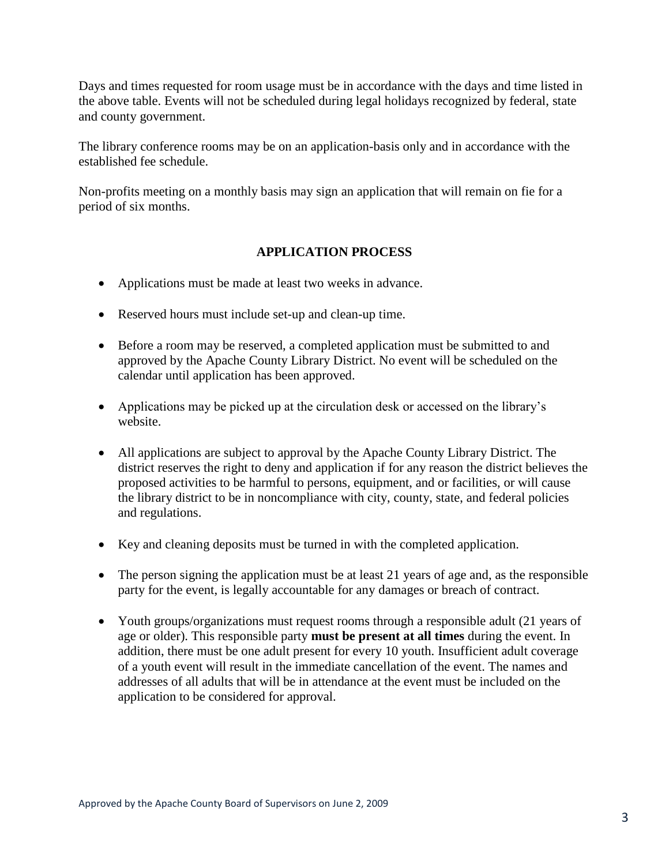Days and times requested for room usage must be in accordance with the days and time listed in the above table. Events will not be scheduled during legal holidays recognized by federal, state and county government.

The library conference rooms may be on an application-basis only and in accordance with the established fee schedule.

Non-profits meeting on a monthly basis may sign an application that will remain on fie for a period of six months.

## **APPLICATION PROCESS**

- Applications must be made at least two weeks in advance.
- Reserved hours must include set-up and clean-up time.
- Before a room may be reserved, a completed application must be submitted to and approved by the Apache County Library District. No event will be scheduled on the calendar until application has been approved.
- Applications may be picked up at the circulation desk or accessed on the library's website.
- All applications are subject to approval by the Apache County Library District. The district reserves the right to deny and application if for any reason the district believes the proposed activities to be harmful to persons, equipment, and or facilities, or will cause the library district to be in noncompliance with city, county, state, and federal policies and regulations.
- Key and cleaning deposits must be turned in with the completed application.
- The person signing the application must be at least 21 years of age and, as the responsible party for the event, is legally accountable for any damages or breach of contract.
- Youth groups/organizations must request rooms through a responsible adult (21 years of age or older). This responsible party **must be present at all times** during the event. In addition, there must be one adult present for every 10 youth. Insufficient adult coverage of a youth event will result in the immediate cancellation of the event. The names and addresses of all adults that will be in attendance at the event must be included on the application to be considered for approval.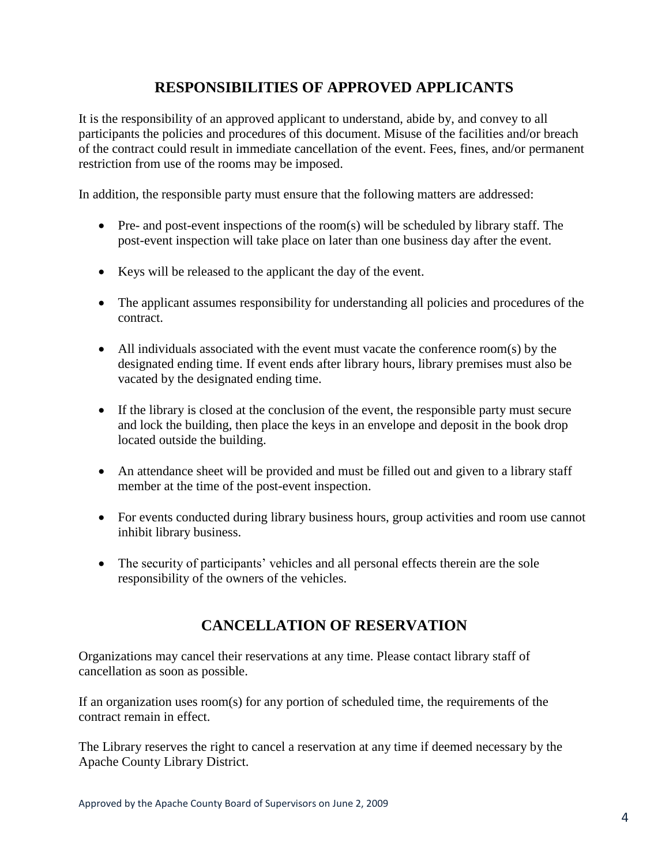## **RESPONSIBILITIES OF APPROVED APPLICANTS**

It is the responsibility of an approved applicant to understand, abide by, and convey to all participants the policies and procedures of this document. Misuse of the facilities and/or breach of the contract could result in immediate cancellation of the event. Fees, fines, and/or permanent restriction from use of the rooms may be imposed.

In addition, the responsible party must ensure that the following matters are addressed:

- Pre- and post-event inspections of the room(s) will be scheduled by library staff. The post-event inspection will take place on later than one business day after the event.
- Keys will be released to the applicant the day of the event.
- The applicant assumes responsibility for understanding all policies and procedures of the contract.
- All individuals associated with the event must vacate the conference room(s) by the designated ending time. If event ends after library hours, library premises must also be vacated by the designated ending time.
- If the library is closed at the conclusion of the event, the responsible party must secure and lock the building, then place the keys in an envelope and deposit in the book drop located outside the building.
- An attendance sheet will be provided and must be filled out and given to a library staff member at the time of the post-event inspection.
- For events conducted during library business hours, group activities and room use cannot inhibit library business.
- The security of participants' vehicles and all personal effects therein are the sole responsibility of the owners of the vehicles.

## **CANCELLATION OF RESERVATION**

Organizations may cancel their reservations at any time. Please contact library staff of cancellation as soon as possible.

If an organization uses room(s) for any portion of scheduled time, the requirements of the contract remain in effect.

The Library reserves the right to cancel a reservation at any time if deemed necessary by the Apache County Library District.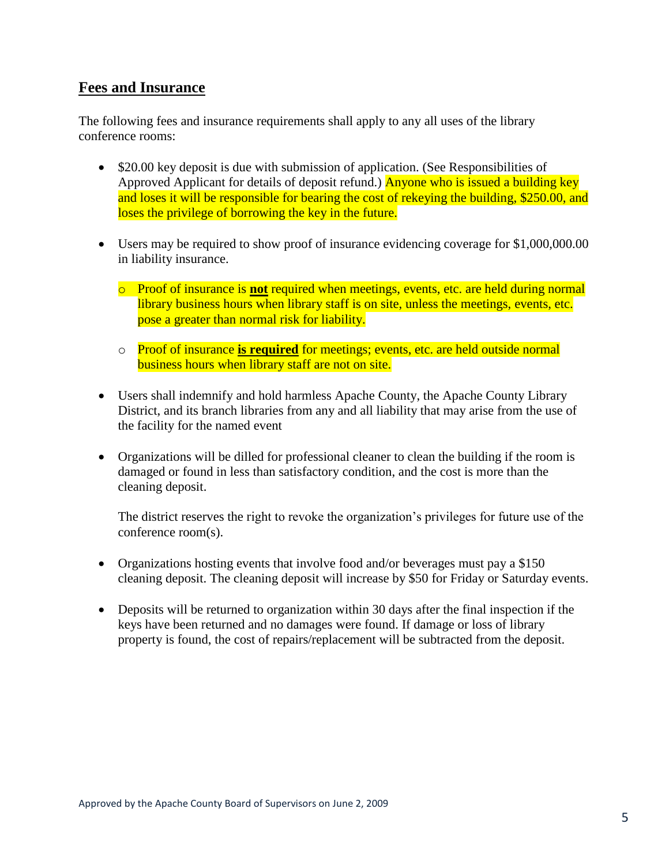## **Fees and Insurance**

The following fees and insurance requirements shall apply to any all uses of the library conference rooms:

- \$20.00 key deposit is due with submission of application. (See Responsibilities of Approved Applicant for details of deposit refund.) Anyone who is issued a building key and loses it will be responsible for bearing the cost of rekeying the building, \$250.00, and loses the privilege of borrowing the key in the future.
- Users may be required to show proof of insurance evidencing coverage for \$1,000,000.00 in liability insurance.
	- o Proof of insurance is **not** required when meetings, events, etc. are held during normal library business hours when library staff is on site, unless the meetings, events, etc. pose a greater than normal risk for liability.
	- o Proof of insurance **is required** for meetings; events, etc. are held outside normal business hours when library staff are not on site.
- Users shall indemnify and hold harmless Apache County, the Apache County Library District, and its branch libraries from any and all liability that may arise from the use of the facility for the named event
- Organizations will be dilled for professional cleaner to clean the building if the room is damaged or found in less than satisfactory condition, and the cost is more than the cleaning deposit.

The district reserves the right to revoke the organization's privileges for future use of the conference room(s).

- Organizations hosting events that involve food and/or beverages must pay a \$150 cleaning deposit. The cleaning deposit will increase by \$50 for Friday or Saturday events.
- Deposits will be returned to organization within 30 days after the final inspection if the keys have been returned and no damages were found. If damage or loss of library property is found, the cost of repairs/replacement will be subtracted from the deposit.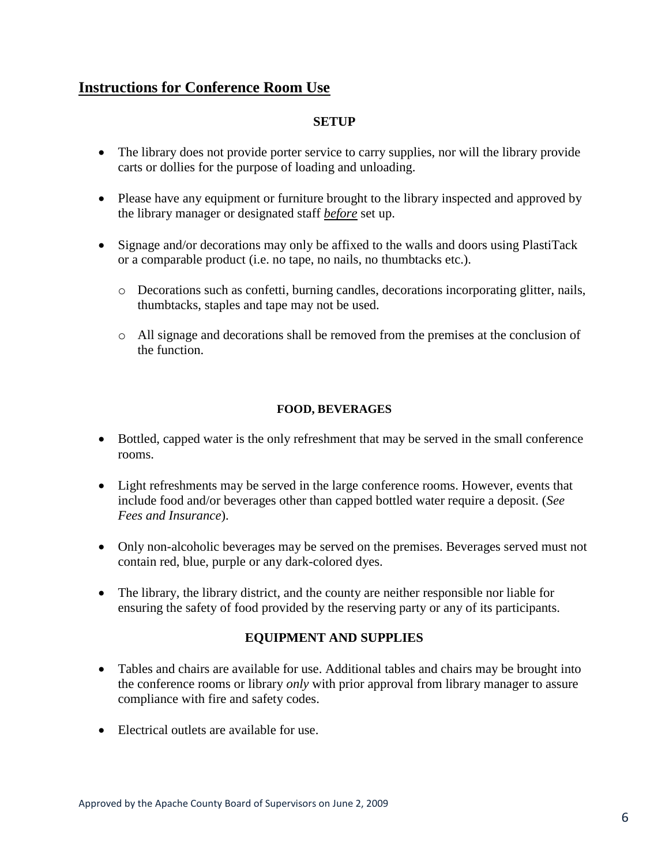## **Instructions for Conference Room Use**

### **SETUP**

- The library does not provide porter service to carry supplies, nor will the library provide carts or dollies for the purpose of loading and unloading.
- Please have any equipment or furniture brought to the library inspected and approved by the library manager or designated staff *before* set up.
- Signage and/or decorations may only be affixed to the walls and doors using PlastiTack or a comparable product (i.e. no tape, no nails, no thumbtacks etc.).
	- o Decorations such as confetti, burning candles, decorations incorporating glitter, nails, thumbtacks, staples and tape may not be used.
	- o All signage and decorations shall be removed from the premises at the conclusion of the function.

### **FOOD, BEVERAGES**

- Bottled, capped water is the only refreshment that may be served in the small conference rooms.
- Light refreshments may be served in the large conference rooms. However, events that include food and/or beverages other than capped bottled water require a deposit. (*See Fees and Insurance*).
- Only non-alcoholic beverages may be served on the premises. Beverages served must not contain red, blue, purple or any dark-colored dyes.
- The library, the library district, and the county are neither responsible nor liable for ensuring the safety of food provided by the reserving party or any of its participants.

## **EQUIPMENT AND SUPPLIES**

- Tables and chairs are available for use. Additional tables and chairs may be brought into the conference rooms or library *only* with prior approval from library manager to assure compliance with fire and safety codes.
- Electrical outlets are available for use.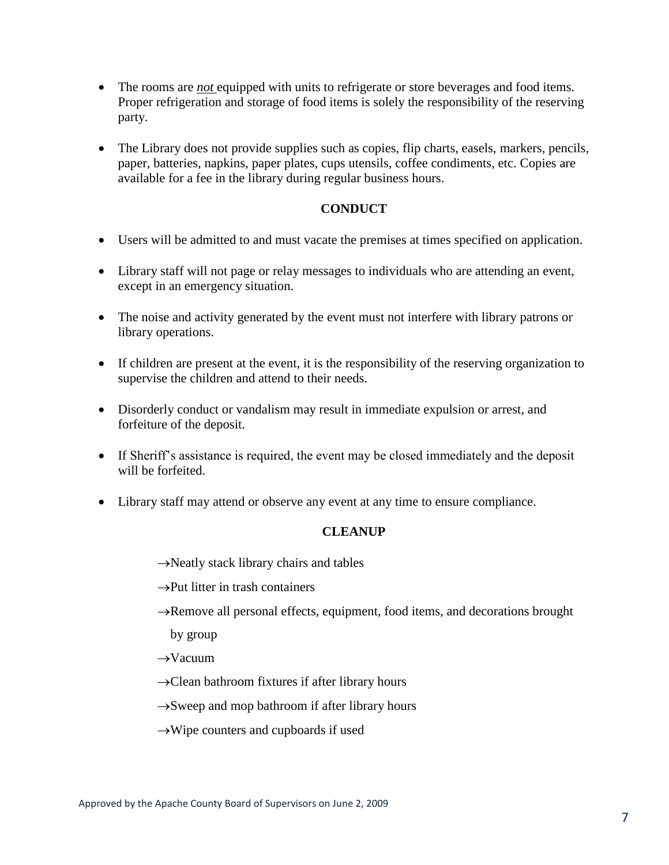- The rooms are *not* equipped with units to refrigerate or store beverages and food items. Proper refrigeration and storage of food items is solely the responsibility of the reserving party.
- The Library does not provide supplies such as copies, flip charts, easels, markers, pencils, paper, batteries, napkins, paper plates, cups utensils, coffee condiments, etc. Copies are available for a fee in the library during regular business hours.

### **CONDUCT**

- Users will be admitted to and must vacate the premises at times specified on application.
- Library staff will not page or relay messages to individuals who are attending an event, except in an emergency situation.
- The noise and activity generated by the event must not interfere with library patrons or library operations.
- If children are present at the event, it is the responsibility of the reserving organization to supervise the children and attend to their needs.
- Disorderly conduct or vandalism may result in immediate expulsion or arrest, and forfeiture of the deposit.
- If Sheriff's assistance is required, the event may be closed immediately and the deposit will be forfeited.
- Library staff may attend or observe any event at any time to ensure compliance.

### **CLEANUP**

- $\rightarrow$ Neatly stack library chairs and tables
- $\rightarrow$ Put litter in trash containers
- $\rightarrow$ Remove all personal effects, equipment, food items, and decorations brought

by group

- $\rightarrow$ Vacuum
- $\rightarrow$ Clean bathroom fixtures if after library hours
- $\rightarrow$ Sweep and mop bathroom if after library hours
- $\rightarrow$ Wipe counters and cupboards if used